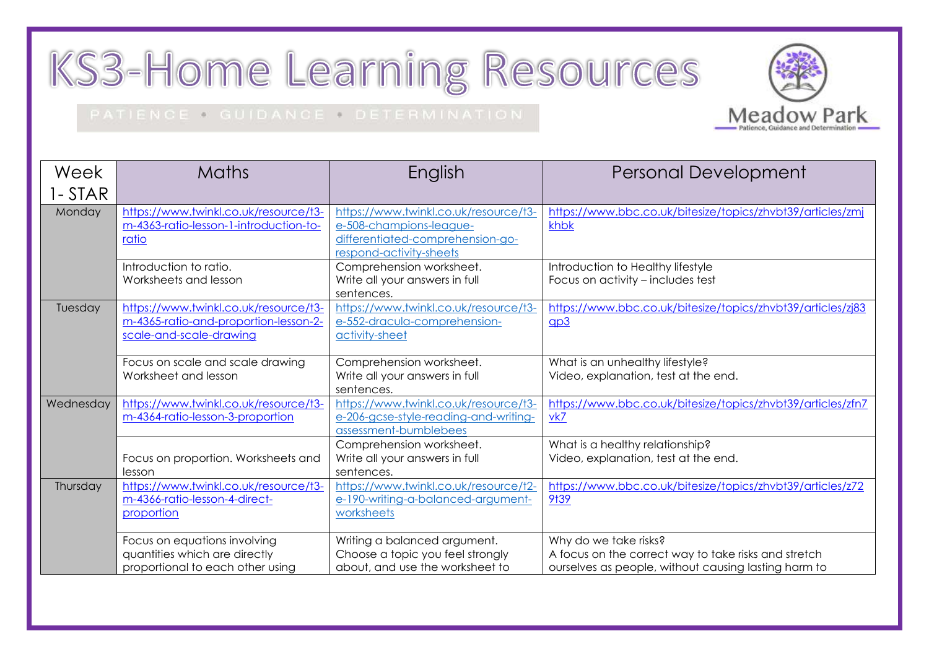## KS3-Home Learning Resources

## PATIENCE . GUIDANCE . DETERMINATION



| Week      | <b>Maths</b>                           | English                               | <b>Personal Development</b>                                 |
|-----------|----------------------------------------|---------------------------------------|-------------------------------------------------------------|
| 1-STAR    |                                        |                                       |                                                             |
| Monday    | https://www.twinkl.co.uk/resource/t3-  | https://www.twinkl.co.uk/resource/t3- | https://www.bbc.co.uk/bitesize/topics/zhvbt39/articles/zmj  |
|           | m-4363-ratio-lesson-1-introduction-to- | e-508-champions-league-               | khbk                                                        |
|           | ratio                                  | differentiated-comprehension-go-      |                                                             |
|           |                                        | respond-activity-sheets               |                                                             |
|           | Introduction to ratio.                 | Comprehension worksheet.              | Introduction to Healthy lifestyle                           |
|           | Worksheets and lesson                  | Write all your answers in full        | Focus on activity - includes test                           |
|           |                                        | sentences.                            |                                                             |
| Tuesday   | https://www.twinkl.co.uk/resource/t3-  | https://www.twinkl.co.uk/resource/t3- | https://www.bbc.co.uk/bitesize/topics/zhvbt39/articles/zj83 |
|           | m-4365-ratio-and-proportion-lesson-2-  | e-552-dracula-comprehension-          | qp3                                                         |
|           | scale-and-scale-drawing                | activity-sheet                        |                                                             |
|           |                                        |                                       |                                                             |
|           | Focus on scale and scale drawing       | Comprehension worksheet.              | What is an unhealthy lifestyle?                             |
|           | Worksheet and lesson                   | Write all your answers in full        | Video, explanation, test at the end.                        |
|           |                                        | sentences.                            |                                                             |
| Wednesday | https://www.twinkl.co.uk/resource/t3-  | https://www.twinkl.co.uk/resource/t3- | https://www.bbc.co.uk/bitesize/topics/zhvbt39/articles/zfn7 |
|           | m-4364-ratio-lesson-3-proportion       | e-206-gcse-style-reading-and-writing- | vk7                                                         |
|           |                                        | assessment-bumblebees                 |                                                             |
|           |                                        | Comprehension worksheet.              | What is a healthy relationship?                             |
|           | Focus on proportion. Worksheets and    | Write all your answers in full        | Video, explanation, test at the end.                        |
|           | lesson                                 | sentences.                            |                                                             |
| Thursday  | https://www.twinkl.co.uk/resource/t3-  | https://www.twinkl.co.uk/resource/t2- | https://www.bbc.co.uk/bitesize/topics/zhvbt39/articles/z72  |
|           | m-4366-ratio-lesson-4-direct-          | e-190-writing-a-balanced-argument-    | 9†39                                                        |
|           | proportion                             | worksheets                            |                                                             |
|           |                                        |                                       |                                                             |
|           | Focus on equations involving           | Writing a balanced argument.          | Why do we take risks?                                       |
|           | quantities which are directly          | Choose a topic you feel strongly      | A focus on the correct way to take risks and stretch        |
|           | proportional to each other using       | about, and use the worksheet to       | ourselves as people, without causing lasting harm to        |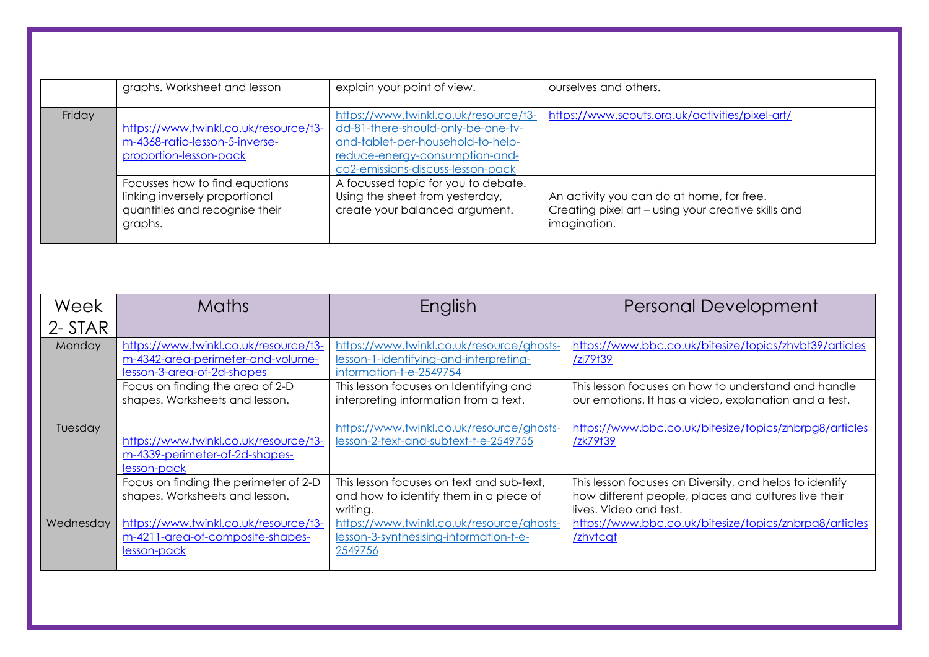|        | graphs. Worksheet and lesson                                                                                  | explain your point of view.                                                                                                                                                             | ourselves and others.                                                                                            |
|--------|---------------------------------------------------------------------------------------------------------------|-----------------------------------------------------------------------------------------------------------------------------------------------------------------------------------------|------------------------------------------------------------------------------------------------------------------|
| Friday | https://www.twinkl.co.uk/resource/t3-<br>m-4368-ratio-lesson-5-inverse-<br>proportion-lesson-pack             | https://www.twinkl.co.uk/resource/t3-<br>dd-81-there-should-only-be-one-tv-<br>and-tablet-per-household-to-help-<br>reduce-energy-consumption-and-<br>co2-emissions-discuss-lesson-pack | https://www.scouts.org.uk/activities/pixel-art/                                                                  |
|        | Focusses how to find equations<br>linking inversely proportional<br>quantities and recognise their<br>graphs. | A focussed topic for you to debate.<br>Using the sheet from yesterday,<br>create your balanced argument.                                                                                | An activity you can do at home, for free.<br>Creating pixel art - using your creative skills and<br>imagination. |

| Week           | <b>Maths</b>                                                                                             | English                                                                                                        | <b>Personal Development</b>                                                                                                               |
|----------------|----------------------------------------------------------------------------------------------------------|----------------------------------------------------------------------------------------------------------------|-------------------------------------------------------------------------------------------------------------------------------------------|
| 2-STAR         |                                                                                                          |                                                                                                                |                                                                                                                                           |
| Monday         | https://www.twinkl.co.uk/resource/t3-<br>m-4342-area-perimeter-and-volume-<br>lesson-3-area-of-2d-shapes | https://www.twinkl.co.uk/resource/ghosts-<br>lesson-1-identifying-and-interpreting-<br>information-t-e-2549754 | https://www.bbc.co.uk/bitesize/topics/zhvbt39/articles<br><u>/zj79t39</u>                                                                 |
|                | Focus on finding the area of 2-D<br>shapes. Worksheets and lesson.                                       | This lesson focuses on Identifying and<br>interpreting information from a text.                                | This lesson focuses on how to understand and handle<br>our emotions. It has a video, explanation and a test.                              |
| <b>Tuesday</b> | https://www.twinkl.co.uk/resource/t3-<br>m-4339-perimeter-of-2d-shapes-<br>lesson-pack                   | https://www.twinkl.co.uk/resource/ghosts-<br>lesson-2-text-and-subtext-t-e-2549755                             | https://www.bbc.co.uk/bitesize/topics/znbrpg8/articles<br>/zk79t39                                                                        |
|                | Focus on finding the perimeter of 2-D<br>shapes. Worksheets and lesson.                                  | This lesson focuses on text and sub-text,<br>and how to identify them in a piece of<br>writing.                | This lesson focuses on Diversity, and helps to identify<br>how different people, places and cultures live their<br>lives. Video and test. |
| Wednesday      | https://www.twinkl.co.uk/resource/t3-<br>m-4211-area-of-composite-shapes-<br>lesson-pack                 | https://www.twinkl.co.uk/resource/ghosts-<br>lesson-3-synthesising-information-t-e-<br>2549756                 | https://www.bbc.co.uk/bitesize/topics/znbrpg8/articles<br>/zhvtcqt                                                                        |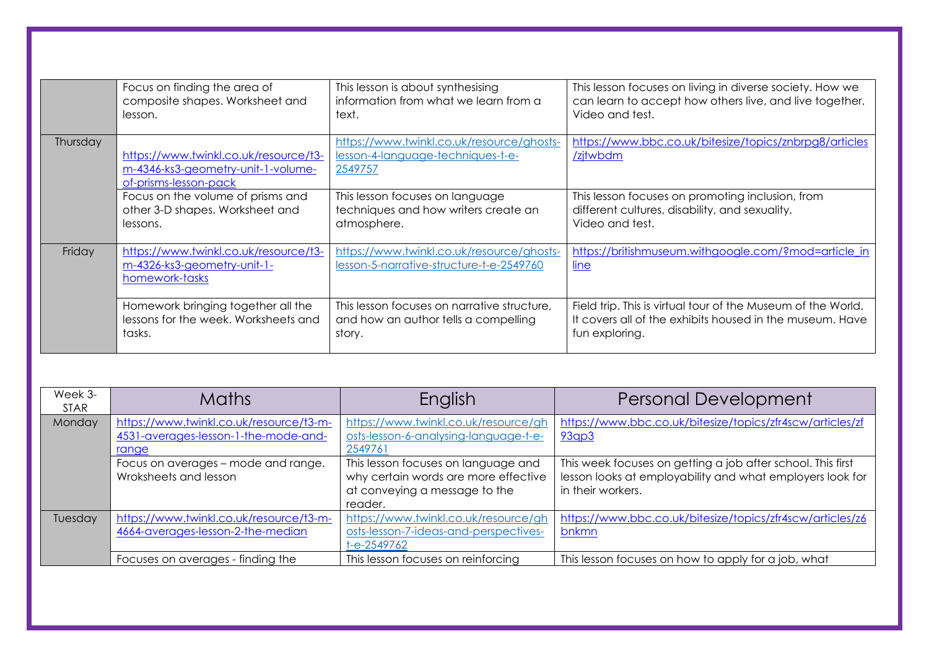|          | Focus on finding the area of                                                                         | This lesson is about synthesising                                                         | This lesson focuses on living in diverse society. How we            |
|----------|------------------------------------------------------------------------------------------------------|-------------------------------------------------------------------------------------------|---------------------------------------------------------------------|
|          | composite shapes. Worksheet and                                                                      | information from what we learn from a                                                     | can learn to accept how others live, and live together.             |
|          | lesson.                                                                                              | text.                                                                                     | Video and test.                                                     |
| Thursday | https://www.twinkl.co.uk/resource/t3-<br>m-4346-ks3-geometry-unit-1-volume-<br>of-prisms-lesson-pack | https://www.twinkl.co.uk/resource/ghosts-<br>lesson-4-language-techniques-t-e-<br>2549757 | https://www.bbc.co.uk/bitesize/topics/znbrpg8/articles<br>/zjtwbdm  |
|          | Focus on the volume of prisms and                                                                    | This lesson focuses on language                                                           | This lesson focuses on promoting inclusion, from                    |
|          | other 3-D shapes. Worksheet and                                                                      | techniques and how writers create an                                                      | different cultures, disability, and sexuality.                      |
|          | lessons.                                                                                             | atmosphere.                                                                               | Video and test.                                                     |
| Friday   | https://www.twinkl.co.uk/resource/t3-<br>m-4326-ks3-geometry-unit-1-<br>homework-tasks               | https://www.twinkl.co.uk/resource/ghosts-<br>lesson-5-narrative-structure-t-e-2549760     | https://britishmuseum.withgoogle.com/?mod=article_in<br><u>line</u> |
|          | Homework bringing together all the                                                                   | This lesson focuses on narrative structure,                                               | Field trip. This is virtual tour of the Museum of the World.        |
|          | lessons for the week. Worksheets and                                                                 | and how an author tells a compelling                                                      | It covers all of the exhibits housed in the museum. Have            |
|          | tasks.                                                                                               | story.                                                                                    | fun exploring.                                                      |

| Week 3-<br><b>STAR</b> | <b>Maths</b>                                                                             | English                                                                                                                 | <b>Personal Development</b>                                                                                                                   |
|------------------------|------------------------------------------------------------------------------------------|-------------------------------------------------------------------------------------------------------------------------|-----------------------------------------------------------------------------------------------------------------------------------------------|
| Monday                 | https://www.twinkl.co.uk/resource/t3-m-<br>4531-averages-lesson-1-the-mode-and-<br>range | https://www.twinkl.co.uk/resource/gh<br>osts-lesson-6-analysing-language-t-e-<br>2549761                                | https://www.bbc.co.uk/bitesize/topics/zfr4scw/articles/zf<br>93qp3                                                                            |
|                        | Focus on averages - mode and range.<br>Wroksheets and lesson                             | This lesson focuses on language and<br>why certain words are more effective<br>at conveying a message to the<br>reader. | This week focuses on getting a job after school. This first<br>lesson looks at employability and what employers look for<br>in their workers. |
| Tuesday                | https://www.twinkl.co.uk/resource/t3-m-<br>4664-averages-lesson-2-the-median             | https://www.twinkl.co.uk/resource/gh<br>osts-lesson-7-ideas-and-perspectives-<br>$t - e - 2549762$                      | https://www.bbc.co.uk/bitesize/topics/zfr4scw/articles/z6<br>bnkmn                                                                            |
|                        | Focuses on averages - finding the                                                        | This lesson focuses on reinforcing                                                                                      | This lesson focuses on how to apply for a job, what                                                                                           |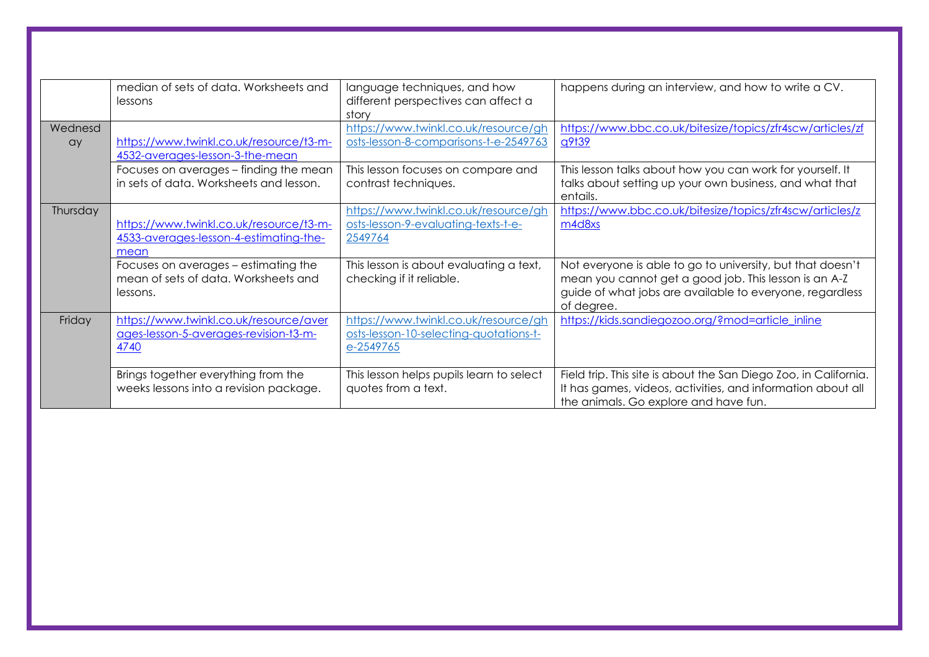|               | median of sets of data. Worksheets and<br>lessons                                         | language techniques, and how<br>different perspectives can affect a<br>story                | happens during an interview, and how to write a CV.                                                                                                                                           |
|---------------|-------------------------------------------------------------------------------------------|---------------------------------------------------------------------------------------------|-----------------------------------------------------------------------------------------------------------------------------------------------------------------------------------------------|
| Wednesd<br>ay | https://www.twinkl.co.uk/resource/t3-m-<br>4532-averages-lesson-3-the-mean                | https://www.twinkl.co.uk/resource/gh<br>osts-lesson-8-comparisons-t-e-2549763               | https://www.bbc.co.uk/bitesize/topics/zfr4scw/articles/zf<br><u>q9t39</u>                                                                                                                     |
|               | Focuses on averages - finding the mean<br>in sets of data. Worksheets and lesson.         | This lesson focuses on compare and<br>contrast techniques.                                  | This lesson talks about how you can work for yourself. It<br>talks about setting up your own business, and what that<br>entails.                                                              |
| Thursday      | https://www.twinkl.co.uk/resource/t3-m-<br>4533-averages-lesson-4-estimating-the-<br>mean | https://www.twinkl.co.uk/resource/gh<br>osts-lesson-9-evaluating-texts-t-e-<br>2549764      | https://www.bbc.co.uk/bitesize/topics/zfr4scw/articles/z<br>m4d8xs                                                                                                                            |
|               | Focuses on averages – estimating the<br>mean of sets of data. Worksheets and<br>lessons.  | This lesson is about evaluating a text,<br>checking if it reliable.                         | Not everyone is able to go to university, but that doesn't<br>mean you cannot get a good job. This lesson is an A-Z<br>guide of what jobs are available to everyone, regardless<br>of degree. |
| Friday        | https://www.twinkl.co.uk/resource/aver<br>ages-lesson-5-averages-revision-t3-m-<br>4740   | https://www.twinkl.co.uk/resource/gh<br>osts-lesson-10-selecting-quotations-t-<br>e-2549765 | https://kids.sandiegozoo.org/?mod=article_inline                                                                                                                                              |
|               | Brings together everything from the<br>weeks lessons into a revision package.             | This lesson helps pupils learn to select<br>quotes from a text.                             | Field trip. This site is about the San Diego Zoo, in California.<br>It has games, videos, activities, and information about all<br>the animals. Go explore and have fun.                      |